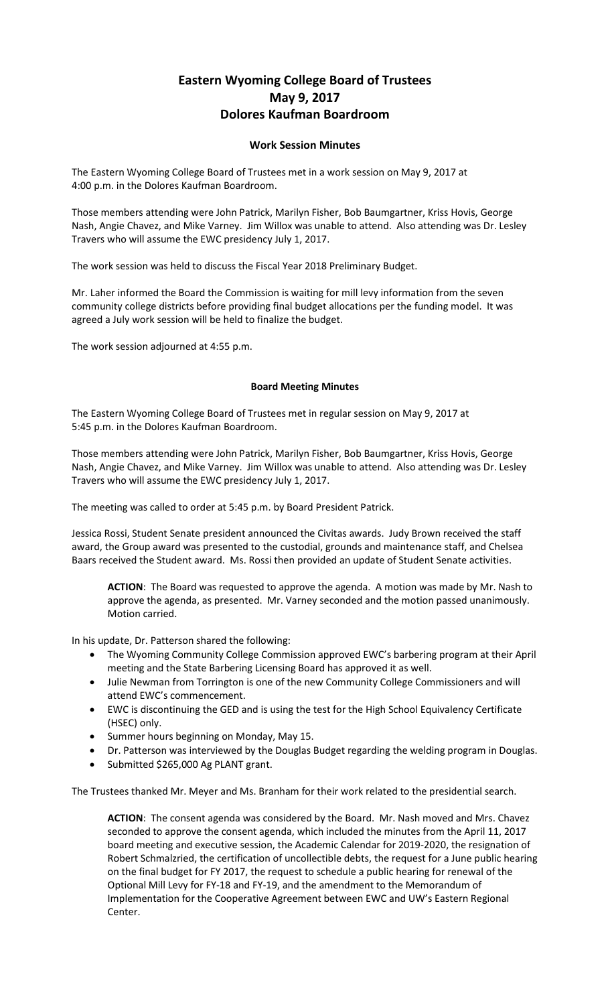## **Eastern Wyoming College Board of Trustees May 9, 2017 Dolores Kaufman Boardroom**

## **Work Session Minutes**

The Eastern Wyoming College Board of Trustees met in a work session on May 9, 2017 at 4:00 p.m. in the Dolores Kaufman Boardroom.

Those members attending were John Patrick, Marilyn Fisher, Bob Baumgartner, Kriss Hovis, George Nash, Angie Chavez, and Mike Varney. Jim Willox was unable to attend. Also attending was Dr. Lesley Travers who will assume the EWC presidency July 1, 2017.

The work session was held to discuss the Fiscal Year 2018 Preliminary Budget.

Mr. Laher informed the Board the Commission is waiting for mill levy information from the seven community college districts before providing final budget allocations per the funding model. It was agreed a July work session will be held to finalize the budget.

The work session adjourned at 4:55 p.m.

## **Board Meeting Minutes**

The Eastern Wyoming College Board of Trustees met in regular session on May 9, 2017 at 5:45 p.m. in the Dolores Kaufman Boardroom.

Those members attending were John Patrick, Marilyn Fisher, Bob Baumgartner, Kriss Hovis, George Nash, Angie Chavez, and Mike Varney. Jim Willox was unable to attend. Also attending was Dr. Lesley Travers who will assume the EWC presidency July 1, 2017.

The meeting was called to order at 5:45 p.m. by Board President Patrick.

Jessica Rossi, Student Senate president announced the Civitas awards. Judy Brown received the staff award, the Group award was presented to the custodial, grounds and maintenance staff, and Chelsea Baars received the Student award. Ms. Rossi then provided an update of Student Senate activities.

**ACTION**: The Board was requested to approve the agenda. A motion was made by Mr. Nash to approve the agenda, as presented. Mr. Varney seconded and the motion passed unanimously. Motion carried.

In his update, Dr. Patterson shared the following:

- The Wyoming Community College Commission approved EWC's barbering program at their April meeting and the State Barbering Licensing Board has approved it as well.
- Julie Newman from Torrington is one of the new Community College Commissioners and will attend EWC's commencement.
- EWC is discontinuing the GED and is using the test for the High School Equivalency Certificate (HSEC) only.
- Summer hours beginning on Monday, May 15.
- Dr. Patterson was interviewed by the Douglas Budget regarding the welding program in Douglas.
- Submitted \$265,000 Ag PLANT grant.

The Trustees thanked Mr. Meyer and Ms. Branham for their work related to the presidential search.

**ACTION**: The consent agenda was considered by the Board. Mr. Nash moved and Mrs. Chavez seconded to approve the consent agenda, which included the minutes from the April 11, 2017 board meeting and executive session, the Academic Calendar for 2019-2020, the resignation of Robert Schmalzried, the certification of uncollectible debts, the request for a June public hearing on the final budget for FY 2017, the request to schedule a public hearing for renewal of the Optional Mill Levy for FY-18 and FY-19, and the amendment to the Memorandum of Implementation for the Cooperative Agreement between EWC and UW's Eastern Regional Center.